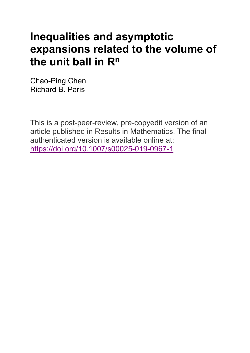# **Inequalities and asymptotic expansions related to the volume of**  the unit ball in R<sup>n</sup>

Chao-Ping Chen Richard B. Paris

This is a post-peer-review, pre-copyedit version of an article published in Results in Mathematics. The final authenticated version is available online at: <https://doi.org/10.1007/s00025-019-0967-1>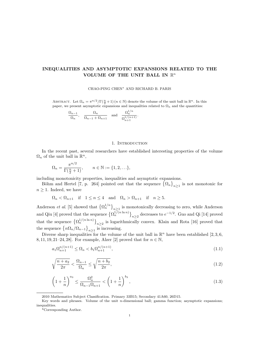## INEQUALITIES AND ASYMPTOTIC EXPANSIONS RELATED TO THE VOLUME OF THE UNIT BALL IN  $\mathbb{R}^n$

#### CHAO-PING CHEN<sup>∗</sup> AND RICHARD B. PARIS

ABSTRACT. Let  $\Omega_n = \pi^{n/2}/\Gamma(\frac{n}{2}+1)$   $(n \in \mathbb{N})$  denote the volume of the unit ball in  $\mathbb{R}^n$ . In this paper, we present asymptotic expansions and inequalities related to  $\Omega_n$  and the quantities:

$$
\frac{\Omega_{n-1}}{\Omega_n}, \quad \frac{\Omega_n}{\Omega_{n-1} + \Omega_{n+1}} \quad \text{and} \quad \frac{\Omega_n^{1/n}}{\Omega_{n+1}^{1/(n+1)}}.
$$

#### 1. INTRODUCTION

In the recent past, several researchers have established interesting properties of the volume  $\Omega_n$  of the unit ball in  $\mathbb{R}^n$ ,

$$
\Omega_n = \frac{\pi^{n/2}}{\Gamma(\frac{n}{2} + 1)}, \qquad n \in \mathbb{N} := \{1, 2, \ldots\},\
$$

including monotonicity properties, inequalities and asymptotic expansions.

Böhm and Hertel [7, p. 264] pointed out that the sequence  $\{\Omega_n\}_{n\geq 1}$  is not monotonic for  $n \geq 1$ . Indeed, we have

$$
\Omega_n < \Omega_{n+1} \quad \text{if} \quad 1 \le n \le 4 \quad \text{and} \quad \Omega_n > \Omega_{n+1} \quad \text{if} \quad n \ge 5.
$$

Anderson *et al.* [5] showed that  $\{\Omega_n^{1/n}\}_{n\geq 1}$  is monotonically decreasing to zero, while Anderson and Qiu [4] proved that the sequence  $\{\Omega_n^{1/(n\ln n)}\}_{n\geq 2}$  decreases to  $e^{-1/2}$ . Guo and Qi [14] proved that the sequence  $\{\Omega_n^{1/(n \ln n)}\}_{n \geq 2}$  is logarithmically convex. Klain and Rota [16] proved that the sequence  $\left\{n\Omega_n/\Omega_{n-1}\right\}_{n\geq1}$  is increasing.

Diverse sharp inequalities for the volume of the unit ball in  $\mathbb{R}^n$  have been established [2,3,6, 8, 11, 19, 21–24, 28]. For example, Alzer [2] proved that for  $n \in \mathbb{N}$ ,

$$
a_1 \Omega_{n+1}^{n/(n+1)} \le \Omega_n < b_1 \Omega_{n+1}^{n/(n+1)},\tag{1.1}
$$

$$
\sqrt{\frac{n+a_2}{2\pi}} < \frac{\Omega_{n-1}}{\Omega_n} \le \sqrt{\frac{n+b_2}{2\pi}},\tag{1.2}
$$

$$
\left(1+\frac{1}{n}\right)^{a_3} \le \frac{\Omega_n^2}{\Omega_{n-1}\Omega_{n+1}} < \left(1+\frac{1}{n}\right)^{b_3},\tag{1.3}
$$

<sup>2010</sup> Mathematics Subject Classification. Primary 33B15; Secondary 41A60, 26D15.

Key words and phrases. Volume of the unit n-dimensional ball; gamma function; asymptotic expansions; inequalities.

<sup>\*</sup>Corresponding Author.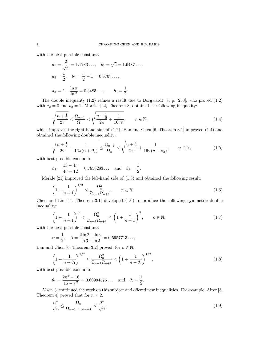with the best possible constants

$$
a_1 = \frac{2}{\sqrt{\pi}} = 1.1283..., \quad b_1 = \sqrt{e} = 1.6487...,
$$
  
\n
$$
a_2 = \frac{1}{2}, \quad b_2 = \frac{\pi}{2} - 1 = 0.5707...,
$$
  
\n
$$
a_3 = 2 - \frac{\ln \pi}{\ln 2} = 0.3485..., \quad b_3 = \frac{1}{2}.
$$

The double inequality (1.2) refines a result due to Borgwardt [8, p. 253], who proved (1.2) with  $a_2 = 0$  and  $b_2 = 1$ . Mortici [22, Theorem 3] obtained the following inequality:

$$
\sqrt{\frac{n+\frac{1}{2}}{2\pi}} < \frac{\Omega_{n-1}}{\Omega_n} < \sqrt{\frac{n+\frac{1}{2}}{2\pi} + \frac{1}{16\pi n}}, \qquad n \in \mathbb{N},\tag{1.4}
$$

which improves the right-hand side of (1.2). Ban and Chen [6, Theorem 3.1] improved (1.4) and obtained the following double inequality:

$$
\sqrt{\frac{n+\frac{1}{2}}{2\pi} + \frac{1}{16\pi(n+\vartheta_1)}} \le \frac{\Omega_{n-1}}{\Omega_n} < \sqrt{\frac{n+\frac{1}{2}}{2\pi} + \frac{1}{16\pi(n+\vartheta_2)}}, \qquad n \in \mathbb{N},\tag{1.5}
$$

with best possible constants

$$
\vartheta_1 = \frac{13 - 4\pi}{4\pi - 12} = 0.7656283...
$$
 and  $\vartheta_2 = \frac{1}{2}$ .

Merkle [21] improved the left-hand side of (1.3) and obtained the following result:

$$
\left(1 + \frac{1}{n+1}\right)^{1/2} \le \frac{\Omega_n^2}{\Omega_{n-1}\Omega_{n+1}}, \qquad n \in \mathbb{N}.
$$
 (1.6)

Chen and Lin [11, Theorem 3.1] developed (1.6) to produce the following symmetric double inequality:

$$
\left(1 + \frac{1}{n+1}\right)^{\alpha} < \frac{\Omega_n^2}{\Omega_{n-1}\Omega_{n+1}} \le \left(1 + \frac{1}{n+1}\right)^{\beta}, \qquad n \in \mathbb{N},\tag{1.7}
$$

with the best possible constants

$$
\alpha = \frac{1}{2}, \quad \beta = \frac{2\ln 2 - \ln \pi}{\ln 3 - \ln 2} = 0.5957713\dots,
$$

Ban and Chen [6, Theorem 3.2] proved, for  $n \in \mathbb{N}$ ,

$$
\left(1 + \frac{1}{n + \theta_1}\right)^{1/2} \le \frac{\Omega_n^2}{\Omega_{n-1}\Omega_{n+1}} < \left(1 + \frac{1}{n + \theta_2}\right)^{1/2},\tag{1.8}
$$

with best possible constants

$$
\theta_1 = \frac{2\pi^2 - 16}{16 - \pi^2} = 0.60994576...
$$
 and  $\theta_2 = \frac{1}{2}$ .

Alzer [3] continued the work on this subject and offered new inequalities. For example, Alzer [3, Theorem 4] proved that for  $n \geq 2$ ,

$$
\frac{\alpha^*}{\sqrt{n}} \le \frac{\Omega_n}{\Omega_{n-1} + \Omega_{n+1}} < \frac{\beta^*}{\sqrt{n}},\tag{1.9}
$$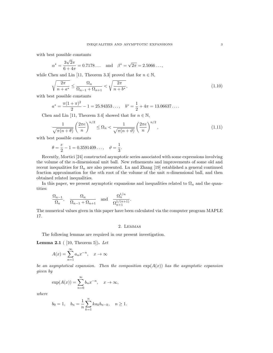with best possible constants

$$
\alpha^* = \frac{3\sqrt{2}\pi}{6+4\pi} = 0.7178...
$$
 and  $\beta^* = \sqrt{2\pi} = 2.5066...$ 

while Chen and Lin [11, Theorem 3.3] proved that for  $n \in \mathbb{N}$ ,

$$
\sqrt{\frac{2\pi}{n+a^*}} \le \frac{\Omega_n}{\Omega_{n-1} + \Omega_{n+1}} < \sqrt{\frac{2\pi}{n+b^*}},\tag{1.10}
$$

with best possible constants

$$
a^* = \frac{\pi (1 + \pi)^2}{2} - 1 = 25.94353..., \quad b^* = \frac{1}{2} + 4\pi = 13.06637...
$$

Chen and Lin [11, Theorem 3.4] showed that for  $n \in \mathbb{N}$ ,

$$
\frac{1}{\sqrt{\pi(n+\theta)}} \left(\frac{2\pi e}{n}\right)^{n/2} \le \Omega_n < \frac{1}{\sqrt{\pi(n+\vartheta)}} \left(\frac{2\pi e}{n}\right)^{n/2},\tag{1.11}
$$

with best possible constants

$$
\theta = \frac{e}{2} - 1 = 0.3591409..., \quad \theta = \frac{1}{3}.
$$

Recently, Mortici [24] constructed asymptotic series associated with some expressions involving the volume of the n-dimensional unit ball. New refinements and improvements of some old and recent inequalities for  $\Omega_n$  are also presented. Lu and Zhang [19] established a general continued fraction approximation for the nth root of the volume of the unit n-dimensional ball, and then obtained related inequalities.

In this paper, we present asymptotic expansions and inequalities related to  $\Omega_n$  and the quantities:

$$
\frac{\Omega_{n-1}}{\Omega_n}, \quad \frac{\Omega_n}{\Omega_{n-1} + \Omega_{n+1}} \quad \text{and} \quad \frac{\Omega_n^{1/n}}{\Omega_{n+1}^{1/(n+1)}}.
$$

The numerical values given in this paper have been calculated via the computer program MAPLE 17.

#### 2. Lemmas

The following lemmas are required in our present investigation.

**Lemma 2.1** ( [10, Theorem 5]). Let

$$
A(x) = \sum_{n=1}^{\infty} a_n x^{-n}, \quad x \to \infty
$$

be an asymptotical expansion. Then the composition  $exp(A(x))$  has the asymptotic expansion given by

$$
\exp(A(x)) = \sum_{n=0}^{\infty} b_n x^{-n}, \quad x \to \infty,
$$

where

$$
b_0 = 1
$$
,  $b_n = \frac{1}{n} \sum_{k=1}^n k a_k b_{n-k}$ ,  $n \ge 1$ .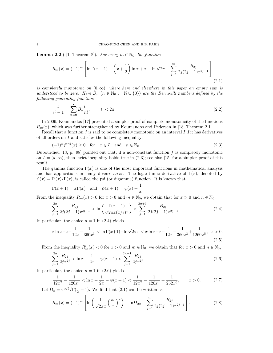**Lemma 2.2** ( [1, Theorem 8]). For every  $m \in \mathbb{N}_0$ , the function

$$
R_m(x) = (-1)^m \left[ \ln \Gamma(x+1) - \left( x + \frac{1}{2} \right) \ln x + x - \ln \sqrt{2\pi} - \sum_{j=1}^m \frac{B_{2j}}{2j(2j-1)x^{2j-1}} \right]
$$
(2.1)

is completely monotonic on  $(0, \infty)$ , where here and elsewhere in this paper an empty sum is understood to be zero. Here  $B_n$   $(n \in \mathbb{N}_0 := \mathbb{N} \cup \{0\})$  are the Bernoulli numbers defined by the following generating function:

$$
\frac{t}{e^t - 1} = \sum_{n=0}^{\infty} B_n \frac{t^n}{n!}, \qquad |t| < 2\pi. \tag{2.2}
$$

In 2006, Koumandos [17] presented a simpler proof of complete monotonicity of the functions  $R_m(x)$ , which was further strengthened by Koumandos and Pedersen in [18, Theorem 2.1].

Recall that a function  $f$  is said to be completely monotonic on an interval  $I$  if it has derivatives of all orders on  $I$  and satisfies the following inequality:

$$
(-1)^n f^{(n)}(x) \ge 0 \quad \text{for} \quad x \in I \quad \text{and} \quad n \in \mathbb{N}_0. \tag{2.3}
$$

Dubourdieu [13, p. 98] pointed out that, if a non-constant function  $f$  is completely monotonic on  $I = (a, \infty)$ , then strict inequality holds true in (2.3); see also [15] for a simpler proof of this result.

The gamma function  $\Gamma(x)$  is one of the most important functions in mathematical analysis and has applications in many diverse areas. The logarithmic derivative of  $\Gamma(x)$ , denoted by  $\psi(x) = \Gamma'(x)/\Gamma(x)$ , is called the psi (or digamma) function. It is known that

$$
\Gamma(x + 1) = x\Gamma(x)
$$
 and  $\psi(x + 1) = \psi(x) + \frac{1}{x}$ .

From the inequality  $R_m(x) > 0$  for  $x > 0$  and  $m \in \mathbb{N}_0$ , we obtain that for  $x > 0$  and  $n \in \mathbb{N}_0$ ,

$$
\sum_{j=1}^{2n} \frac{B_{2j}}{2j(2j-1)x^{2j-1}} < \ln\left(\frac{\Gamma(x+1)}{\sqrt{2\pi x}(x/e)^x}\right) < \sum_{j=1}^{2n+1} \frac{B_{2j}}{2j(2j-1)x^{2j-1}}
$$
(2.4)

In particular, the choice  $n = 1$  in  $(2.4)$  yields

$$
x \ln x - x + \frac{1}{12x} - \frac{1}{360x^3} < \ln \Gamma(x+1) - \ln \sqrt{2\pi x} < x \ln x - x + \frac{1}{12x} - \frac{1}{360x^3} + \frac{1}{1260x^5}, \quad x > 0.
$$
\n(2.5)

From the inequality  $R'_m(x) < 0$  for  $x > 0$  and  $m \in \mathbb{N}_0$ , we obtain that for  $x > 0$  and  $n \in \mathbb{N}_0$ ,

$$
\sum_{j=1}^{2n} \frac{B_{2j}}{2jx^{2j}} < \ln x + \frac{1}{2x} - \psi(x+1) < \sum_{j=1}^{2n+1} \frac{B_{2j}}{2jx^{2j}} \tag{2.6}
$$

In particular, the choice  $n = 1$  in (2.6) yields

$$
\frac{1}{12x^2} - \frac{1}{120x^4} < \ln x + \frac{1}{2x} - \psi(x+1) < \frac{1}{12x^2} - \frac{1}{120x^4} + \frac{1}{252x^6}, \qquad x > 0. \tag{2.7}
$$

Let  $\Omega_x = \pi^{x/2} / \Gamma(\frac{x}{2} + 1)$ . We find that (2.1) can be written as

$$
R_m(x) = (-1)^m \left[ \ln \left( \frac{1}{\sqrt{2\pi x}} \left( \frac{\pi e}{x} \right)^x \right) - \ln \Omega_{2x} - \sum_{j=1}^m \frac{B_{2j}}{2j(2j-1)x^{2j-1}} \right].
$$
 (2.8)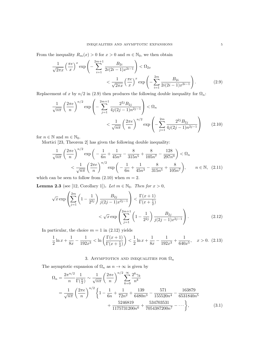From the inequality  $R_m(x) > 0$  for  $x > 0$  and  $m \in \mathbb{N}_0$ , we then obtain

$$
\frac{1}{\sqrt{2\pi x}} \left(\frac{\pi e}{x}\right)^x \exp\left(-\sum_{i=1}^{2m+1} \frac{B_{2i}}{2i(2i-1)x^{2i-1}}\right) < \Omega_{2x}
$$
\n
$$
< \frac{1}{\sqrt{2\pi x}} \left(\frac{\pi e}{x}\right)^x \exp\left(-\sum_{i=1}^{2m} \frac{B_{2i}}{2i(2i-1)x^{2i-1}}\right). \tag{2.9}
$$

Replacement of x by  $n/2$  in (2.9) then produces the following double inequality for  $\Omega_n$ :

$$
\frac{1}{\sqrt{n\pi}} \left(\frac{2\pi e}{n}\right)^{n/2} \exp\left(-\sum_{j=1}^{2m+1} \frac{2^{2j} B_{2j}}{4j(2j-1)n^{2j-1}}\right) < \Omega_n
$$

$$
< \frac{1}{\sqrt{n\pi}} \left(\frac{2\pi e}{n}\right)^{n/2} \exp\left(-\sum_{j=1}^{2m} \frac{2^{2j} B_{2j}}{4j(2j-1)n^{2j-1}}\right) \tag{2.10}
$$

for  $n \in \mathbb{N}$  and  $m \in \mathbb{N}_0$ .

Mortici [23, Theorem 2] has given the following double inequality:

$$
\frac{1}{\sqrt{n\pi}} \left(\frac{2\pi e}{n}\right)^{n/2} \exp\left(-\frac{1}{6n} + \frac{1}{45n^3} - \frac{8}{315n^5} + \frac{8}{105n^7} - \frac{128}{297n^9}\right) < \Omega_n
$$
  

$$
< \frac{1}{\sqrt{n\pi}} \left(\frac{2\pi e}{n}\right)^{n/2} \exp\left(-\frac{1}{6n} + \frac{1}{45n^3} - \frac{8}{315n^5} + \frac{8}{105n^7}\right), \qquad n \in \mathbb{N}, \quad (2.11)
$$

which can be seen to follow from  $(2.10)$  when  $m = 2$ .

**Lemma 2.3** (see [12, Corollary 1]). Let  $m \in \mathbb{N}_0$ . Then for  $x > 0$ ,

$$
\sqrt{x} \exp\left(\sum_{j=1}^{2m} \left(1 - \frac{1}{2^{2j}}\right) \frac{B_{2j}}{j(2j-1)x^{2j-1}}\right) < \frac{\Gamma(x+1)}{\Gamma(x+\frac{1}{2})} \\
&< \sqrt{x} \exp\left(\sum_{j=1}^{2m+1} \left(1 - \frac{1}{2^{2j}}\right) \frac{B_{2j}}{j(2j-1)x^{2j-1}}\right). \tag{2.12}
$$

In particular, the choice  $m = 1$  in  $(2.12)$  yields

$$
\frac{1}{2}\ln x + \frac{1}{8x} - \frac{1}{192x^3} < \ln\left(\frac{\Gamma(x+1)}{\Gamma(x+\frac{1}{2})}\right) < \frac{1}{2}\ln x + \frac{1}{8x} - \frac{1}{192x^3} + \frac{1}{640x^5}, \quad x > 0. \tag{2.13}
$$

## 3. ASYMPTOTICS AND INEQUALITIES FOR  $\Omega_n$

The asymptotic expansion of  $\Omega_n$  as  $n \to \infty$  is given by

$$
\Omega_n = \frac{2\pi^{n/2}}{n} \frac{1}{\Gamma(\frac{n}{2})} \sim \frac{1}{\sqrt{n\pi}} \left(\frac{2\pi e}{n}\right)^{n/2} \sum_{k=0}^{\infty} \frac{2^k \gamma_k}{n^k}
$$
  
= 
$$
\frac{1}{\sqrt{n\pi}} \left(\frac{2\pi e}{n}\right)^{n/2} \left\{1 - \frac{1}{6n} + \frac{1}{72n^2} + \frac{139}{6480n^3} - \frac{571}{155520n^4} - \frac{163879}{6531840n^5} + \frac{5246819}{1175731200n^6} + \frac{534703531}{7054387200n^7} - \cdots \right\},
$$
(3.1)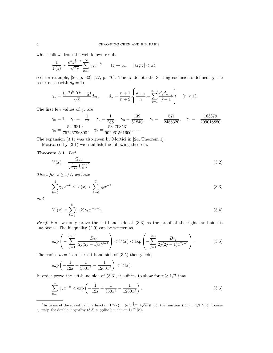which follows from the well-known result

$$
\frac{1}{\Gamma(z)} \sim \frac{e^z z^{\frac{1}{2} - z}}{\sqrt{2\pi}} \sum_{k=0}^{\infty} \gamma_k z^{-k} \qquad (z \to \infty, \quad |\arg z| < \pi);
$$

see, for example, [26, p. 32], [27, p. 70]. The  $\gamma_k$  denote the Stirling coefficients defined by the recurrence (with  $d_0 = 1$ )

$$
\gamma_k = \frac{(-2)^k \Gamma(k + \frac{1}{2})}{\sqrt{\pi}} d_{2k}, \qquad d_n = \frac{n+1}{n+2} \left\{ \frac{d_{n-1}}{n} - \sum_{j=1}^{n-1} \frac{d_j d_{n-j}}{j+1} \right\} \quad (n \ge 1).
$$

The first few values of  $\gamma_k$  are

$$
\gamma_0 = 1, \quad \gamma_1 = -\frac{1}{12}, \quad \gamma_2 = \frac{1}{288}, \quad \gamma_3 = \frac{139}{51840}, \quad \gamma_4 = -\frac{571}{2488320}, \quad \gamma_5 = -\frac{163879}{209018880},
$$

$$
\gamma_6 = \frac{5246819}{75246796800}, \quad \gamma_7 = \frac{534703531}{902961561600}, \dots
$$

The expansion (3.1) was also given by Mortici in [24, Theorem 1].

Motivated by (3.1) we establish the following theorem.

### Theorem 3.1.  $Let<sup>1</sup>$

$$
V(x) = \frac{\Omega_{2x}}{\frac{1}{\sqrt{2\pi x}} \left(\frac{\pi e}{x}\right)^x}.
$$
\n(3.2)

Then, for  $x \geq 1/2$ , we have

$$
\sum_{k=0}^{5} \gamma_k x^{-k} < V(x) < \sum_{k=0}^{7} \gamma_k x^{-k} \tag{3.3}
$$

and

$$
V'(x) < \sum_{k=1}^{5} (-k)\gamma_k x^{-k-1}.\tag{3.4}
$$

Proof. Here we only prove the left-hand side of (3.3) as the proof of the right-hand side is analogous. The inequality (2.9) can be written as

$$
\exp\left(-\sum_{j=1}^{2m+1} \frac{B_{2j}}{2j(2j-1)x^{2j-1}}\right) < V(x) < \exp\left(-\sum_{j=1}^{2m} \frac{B_{2j}}{2j(2j-1)x^{2j-1}}\right). \tag{3.5}
$$

The choice  $m = 1$  on the left-hand side of  $(3.5)$  then yields,

$$
\exp\left(-\frac{1}{12x} + \frac{1}{360x^3} - \frac{1}{1260x^5}\right) < V(x).
$$

In order prove the left-hand side of (3.3), it suffices to show for  $x \ge 1/2$  that

$$
\sum_{k=0}^{5} \gamma_k x^{-k} < \exp\left(-\frac{1}{12x} + \frac{1}{360x^3} - \frac{1}{1260x^5}\right). \tag{3.6}
$$

<sup>&</sup>lt;sup>1</sup>In terms of the scaled gamma function  $\Gamma^*(x) = (e^x x^{\frac{1}{2} - x} / \sqrt{2\pi}) \Gamma(x)$ , the function  $V(x) = 1/\Gamma^*(x)$ . Consequently, the double inequality (3.3) supplies bounds on  $1/\Gamma^*(x)$ .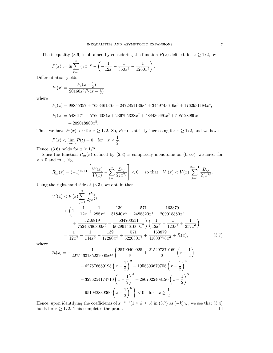The inequality (3.6) is obtained by considering the function  $P(x)$  defined, for  $x \ge 1/2$ , by

$$
P(x) := \ln \sum_{k=0}^{5} \gamma_k x^{-k} - \left( -\frac{1}{12x} + \frac{1}{360x^3} - \frac{1}{1260x^5} \right).
$$

Differentiation yields

$$
P'(x) = \frac{P_4(x - \frac{1}{2})}{20160x^6P_5(x - \frac{1}{2})},
$$

where

$$
P_4(x) = 98855357 + 763346136x + 2472851136x^2 + 3459743616x^3 + 1762931184x^4,
$$

$$
P_5(x) = 5486171 + 57666084x + 236795328x^2 + 488436480x^3 + 505128960x^4
$$
  
+ 209018880x<sup>5</sup>.

Thus, we have  $P'(x) > 0$  for  $x \ge 1/2$ . So,  $P(x)$  is strictly increasing for  $x \ge 1/2$ , and we have

$$
P(x) < \lim_{t \to \infty} P(t) = 0 \quad \text{for} \quad x \ge \frac{1}{2}.
$$

Hence, (3.6) holds for  $x \geq 1/2$ .

Since the function  $R_m(x)$  defined by (2.8) is completely monotonic on  $(0, \infty)$ , we have, for  $x > 0$  and  $m \in \mathbb{N}_0$ ,

$$
R'_m(x) = (-1)^{m+1} \left[ \frac{V'(x)}{V(x)} - \sum_{j=1}^m \frac{B_{2j}}{2jx^{2j}} \right] < 0, \quad \text{so that} \quad V'(x) < V(x) \sum_{j=1}^{2m+1} \frac{B_{2j}}{2jx^{2j}}.
$$

Using the right-hand side of (3.3), we obtain that

$$
V'(x) < V(x) \sum_{j=1}^{3} \frac{B_{2j}}{2jx^{2j}}
$$
  

$$
< \left(1 - \frac{1}{12x} + \frac{1}{288x^2} + \frac{139}{51840x^3} - \frac{571}{2488320x^4} - \frac{163879}{209018880x^5} + \frac{5246819}{75246796800x^6} + \frac{534703531}{902961561600x^7} \right) \left(\frac{1}{12x^2} - \frac{1}{120x^4} + \frac{1}{252x^6}\right)
$$
  

$$
= \frac{1}{12x^2} - \frac{1}{144x^3} - \frac{139}{17280x^4} + \frac{571}{622080x^5} + \frac{163879}{41803776x^6} + \mathcal{R}(x), \tag{3.7}
$$

where

$$
\mathcal{R}(x) = -\frac{1}{2275463135232000x^{13}} \left\{ \frac{25799409925}{8} + \frac{215497370169}{2} \left( x - \frac{1}{2} \right) \right\}
$$

$$
+ 627676689198 \left( x - \frac{1}{2} \right)^2 + 1958303670708 \left( x - \frac{1}{2} \right)^3
$$

$$
+ 3296254174710 \left( x - \frac{1}{2} \right)^4 + 2807022408120 \left( x - \frac{1}{2} \right)^5
$$

$$
+ 951982839360 \left( x - \frac{1}{2} \right)^6 \right\} < 0 \text{ for } x \ge \frac{1}{2}.
$$

Hence, upon identifying the coefficients of  $x^{-k-1}(1 \le k \le 5)$  in  $(3.7)$  as  $(-k)\gamma_k$ , we see that  $(3.4)$ holds for  $x \ge 1/2$ . This completes the proof.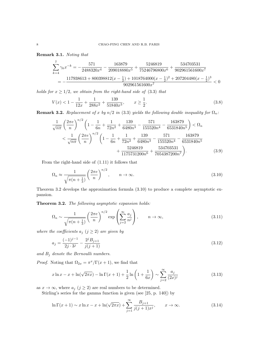Remark 3.1. Noting that

$$
\begin{aligned} \sum_{k=4}^7\gamma_k x^{-k} & = -\frac{571}{2488320x^4} - \frac{163879}{209018880x^5} + \frac{5246819}{75246796800x^6} + \frac{534703531}{902961561600x^7} \\ & = -\frac{117938613 + 800398812(x - \frac{1}{2}) + 1018764000(x - \frac{1}{2})^2 + 207204480(x - \frac{1}{2})^3}{902961561600x^7} & < 0 \end{aligned}
$$

holds for  $x \geq 1/2$ , we obtain from the right-hand side of (3.3) that

$$
V(x) < 1 - \frac{1}{12x} + \frac{1}{288x^2} + \frac{139}{51840x^3}, \qquad x \ge \frac{1}{2}.\tag{3.8}
$$

**Remark 3.2.** Replacement of x by  $n/2$  in (3.3) yields the following double inequality for  $\Omega_n$ :

$$
\frac{1}{\sqrt{n\pi}} \left(\frac{2\pi e}{n}\right)^{n/2} \left(1 - \frac{1}{6n} + \frac{1}{72n^2} + \frac{139}{6480n^3} - \frac{571}{155520n^4} - \frac{163879}{6531840n^5}\right) < \Omega_n
$$
  

$$
< \frac{1}{\sqrt{n\pi}} \left(\frac{2\pi e}{n}\right)^{n/2} \left(1 - \frac{1}{6n} + \frac{1}{72n^2} + \frac{139}{6480n^3} - \frac{571}{155520n^4} - \frac{163879}{6531840n^5} + \frac{5246819}{1175731200n^6} + \frac{534703531}{7054387200n^7}\right).
$$
(3.9)

From the right-hand side of (1.11) it follows that

$$
\Omega_n \approx \frac{1}{\sqrt{\pi (n + \frac{1}{3})}} \left(\frac{2\pi e}{n}\right)^{n/2}, \qquad n \to \infty.
$$
\n(3.10)

Theorem 3.2 develops the approximation formula (3.10) to produce a complete asymptotic expansion.

Theorem 3.2. The following asymptotic expansion holds:

$$
\Omega_n \sim \frac{1}{\sqrt{\pi (n + \frac{1}{3})}} \left(\frac{2\pi e}{n}\right)^{n/2} \exp\left(\sum_{j=2}^{\infty} \frac{a_j}{n^j}\right), \qquad n \to \infty,
$$
\n(3.11)

where the coefficients  $a_j$   $(j \geq 2)$  are given by

$$
a_j = \frac{(-1)^{j-1}}{2j \cdot 3^j} - \frac{2^j B_{j+1}}{j(j+1)}
$$
\n(3.12)

and  $B_j$  denote the Bernoulli numbers.

*Proof.* Noting that  $\Omega_{2x} = \pi^x/\Gamma(x+1)$ , we find that

$$
x \ln x - x + \ln(\sqrt{2\pi x}) - \ln \Gamma(x+1) + \frac{1}{2} \ln\left(1 + \frac{1}{6x}\right) \sim \sum_{j=2}^{\infty} \frac{a_j}{(2x)^j}
$$
(3.13)

as  $x \to \infty$ , where  $a_j$  ( $j \ge 2$ ) are real numbers to be determined.

Stirling's series for the gamma function is given (see [25, p. 140]) by

$$
\ln \Gamma(x+1) \sim x \ln x - x + \ln(\sqrt{2\pi x}) + \sum_{j=1}^{\infty} \frac{B_{j+1}}{j(j+1)x^j}, \qquad x \to \infty.
$$
 (3.14)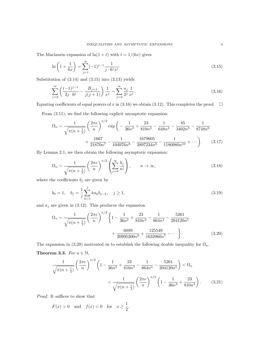The Maclaurin expansion of  $ln(1 + t)$  with  $t = 1/(6x)$  gives

$$
\ln\left(1+\frac{1}{6x}\right) = \sum_{j=1}^{\infty} (-1)^{j-1} \frac{1}{j \cdot 6^j x^j}.
$$
\n(3.15)

Substitution of  $(3.14)$  and  $(3.15)$  into  $(3.13)$  yields

$$
\sum_{j=2}^{\infty} \left( \frac{(-1)^{j-1}}{2j \cdot 6^j} - \frac{B_{j+1}}{j(j+1)} \right) \frac{1}{x^j} \sim \sum_{j=2}^{\infty} \frac{a_j}{2^j} \frac{1}{x^j}.
$$
\n(3.16)

Equating coefficients of equal powers of x in (3.16) we obtain (3.12). This completes the proof.  $\square$ 

From (3.11), we find the following explicit asymptotic expansion:

$$
\Omega_n \sim \frac{1}{\sqrt{\pi (n+\frac{1}{3})}} \left(\frac{2\pi e}{n}\right)^{n/2} \exp\left(-\frac{1}{36n^2} + \frac{23}{810n^3} - \frac{1}{648n^4} - \frac{85}{3402n^5} - \frac{1}{8748n^6} + \frac{1667}{21870n^7} - \frac{1}{104976n^8} - \frac{1679605}{3897234n^9} - \frac{1}{1180980n^{10}} + \cdots\right). \tag{3.17}
$$

By Lemma 2.1, we then obtain the following asymptotic expansion:

$$
\Omega_n \sim \frac{1}{\sqrt{\pi (n + \frac{1}{3})}} \left( \frac{2\pi e}{n} \right)^{n/2} \left( \sum_{j=0}^{\infty} \frac{b_j}{n^j} \right), \qquad n \to \infty,
$$
\n(3.18)

where the coefficients  $b_j$  are given by

$$
b_0 = 1, \quad b_j = \frac{1}{j} \sum_{k=1}^j k a_k b_{j-k}, \quad j \ge 1,
$$
\n(3.19)

and  $a_j$  are given in (3.12). This produces the expansion

$$
\Omega_n \sim \frac{1}{\sqrt{\pi (n + \frac{1}{3})}} \left(\frac{2\pi e}{n}\right)^{n/2} \left\{1 - \frac{1}{36n^2} + \frac{23}{810n^3} - \frac{1}{864n^4} - \frac{5261}{204120n^5} + \frac{6889}{20995200n^6} + \frac{125549}{1632960n^7} - \dots \right\}.
$$
\n(3.20)

The expansion in (3.20) motivated us to establish the following double inequality for  $\Omega_n$ .

Theorem 3.3. For  $n \in \mathbb{N}$ ,

$$
\frac{1}{\sqrt{\pi(n+\frac{1}{3})}} \left(\frac{2\pi e}{n}\right)^{n/2} \left(1 - \frac{1}{36n^2} + \frac{23}{810n^3} - \frac{1}{864n^4} - \frac{5261}{204120n^5}\right) < \Omega_n
$$

$$
< \frac{1}{\sqrt{\pi(n+\frac{1}{3})}} \left(\frac{2\pi e}{n}\right)^{n/2} \left(1 - \frac{1}{36n^2} + \frac{23}{810n^3}\right). \tag{3.21}
$$

Proof. It suffices to show that

$$
F(x) > 0 \quad \text{and} \quad f(x) < 0 \quad \text{for} \quad x \ge \frac{1}{2},
$$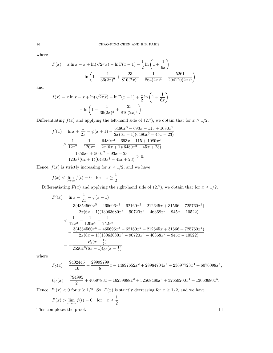where

$$
F(x) = x \ln x - x + \ln(\sqrt{2\pi x}) - \ln \Gamma(x+1) + \frac{1}{2} \ln\left(1 + \frac{1}{6x}\right)
$$

$$
- \ln\left(1 - \frac{1}{36(2x)^2} + \frac{23}{810(2x)^3} - \frac{1}{864(2x)^4} - \frac{5261}{204120(2x)^5}\right)
$$

and

$$
f(x) = x \ln x - x + \ln(\sqrt{2\pi x}) - \ln \Gamma(x+1) + \frac{1}{2} \ln\left(1 + \frac{1}{6x}\right)
$$

$$
- \ln\left(1 - \frac{1}{36(2x)^2} + \frac{23}{810(2x)^3}\right).
$$

Differentiating  $f(x)$  and applying the left-hand side of (2.7), we obtain that for  $x \ge 1/2$ ,

$$
f'(x) = \ln x + \frac{1}{2x} - \psi(x+1) - \frac{6480x^3 - 693x - 115 + 1080x^2}{2x(6x+1)(6480x^3 - 45x + 23)}
$$
  
> 
$$
\frac{1}{12x^2} - \frac{1}{120x^4} - \frac{6480x^3 - 693x - 115 + 1080x^2}{2x(6x+1)(6480x^3 - 45x + 23)}
$$
  
= 
$$
\frac{1350x^3 + 500x^2 - 93x - 23}{120x^4(6x+1)(6480x^3 - 45x + 23)} > 0.
$$

Hence,  $f(x)$  is strictly increasing for  $x \geq 1/2$ , and we have

$$
f(x) < \lim_{t \to \infty} f(t) = 0
$$
 for  $x \ge \frac{1}{2}$ .

Differentiating  $F(x)$  and applying the right-hand side of (2.7), we obtain that for  $x \ge 1/2$ ,

$$
F'(x) = \ln x + \frac{1}{2x} - \psi(x+1)
$$
  
\n
$$
- \frac{3(4354560x^5 - 465696x^3 - 62160x^2 + 212645x + 31566 + 725760x^4)}{2x(6x+1)(13063680x^5 - 90720x^3 + 46368x^2 - 945x - 10522)}
$$
  
\n
$$
< \frac{1}{12x^2} - \frac{1}{120x^4} + \frac{1}{252x^6}
$$
  
\n
$$
- \frac{3(4354560x^5 - 465696x^3 - 62160x^2 + 212645x + 31566 + 725760x^4)}{2x(6x+1)(13063680x^5 - 90720x^3 + 46368x^2 - 945x - 10522)}
$$
  
\n
$$
= -\frac{P_5(x-\frac{1}{2})}{2520x^6(6x+1)Q_5(x-\frac{1}{2})},
$$

where

$$
P_5(x) = \frac{9402445}{16} + \frac{29999799}{8}x + 14897652x^2 + 28984704x^3 + 23697723x^4 + 6076098x^5,
$$

$$
Q_5(x) = \frac{794995}{2} + 4059783x + 16239888x^2 + 32568480x^3 + 32659200x^4 + 13063680x^5.
$$

Hence,  $F'(x) < 0$  for  $x \ge 1/2$ . So,  $F(x)$  is strictly decreasing for  $x \ge 1/2$ , and we have

$$
F(x) > \lim_{t \to \infty} f(t) = 0 \quad \text{for} \quad x \ge \frac{1}{2}.
$$

This completes the proof.  $\Box$ 

$$
10\quad
$$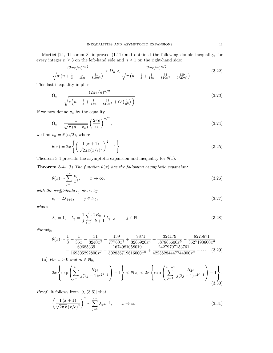Mortici [24, Theorem 3] improved (1.11) and obtained the following double inequality, for every integer  $n\geq 3$  on the left-hand side and  $n\geq 1$  on the right-hand side:

$$
\frac{(2\pi e/n)^{n/2}}{\sqrt{\pi \left(n + \frac{1}{3} + \frac{1}{18n} - \frac{31}{810n^2}\right)}} < \Omega_n < \frac{(2\pi e/n)^{n/2}}{\sqrt{\pi \left(n + \frac{1}{3} + \frac{1}{18n} - \frac{31}{810n^2} - \frac{139}{9720n^3}\right)}}.
$$
(3.22)

This last inequality implies

$$
\Omega_n = \frac{(2\pi e/n)^{n/2}}{\sqrt{\pi \left(n + \frac{1}{3} + \frac{1}{18n} - \frac{31}{810n^2} + O\left(\frac{1}{n^3}\right)\right)}}.
$$
\n(3.23)

If we now define  $v_n$  by the equality

$$
\Omega_n = \frac{1}{\sqrt{\pi (n + v_n)}} \left(\frac{2\pi e}{n}\right)^{n/2},\tag{3.24}
$$

we find  $v_n = \theta(n/2)$ , where

$$
\theta(x) = 2x \left\{ \left( \frac{\Gamma(x+1)}{\sqrt{2\pi x} (x/e)^x} \right)^2 - 1 \right\}.
$$
\n(3.25)

Theorem 3.4 presents the asymptotic expansion and inequality for  $\theta(x)$ .

**Theorem 3.4.** (i) The function  $\theta(x)$  has the following asymptotic expansion:

$$
\theta(x) \sim \sum_{j=0}^{\infty} \frac{c_j}{x^j}, \qquad x \to \infty,
$$
\n(3.26)

with the coefficients  $c_j$  given by

$$
c_j = 2\lambda_{j+1}, \qquad j \in \mathbb{N}_0,\tag{3.27}
$$

where

$$
\lambda_0 = 1, \quad \lambda_j = \frac{1}{j} \sum_{k=1}^j \frac{2B_{k+1}}{k+1} \lambda_{j-k}, \qquad j \in \mathbb{N}.
$$
\n(3.28)

Namely,

$$
\theta(x) \sim \frac{1}{3} + \frac{1}{36x} - \frac{31}{3240x^2} - \frac{139}{77760x^3} + \frac{9871}{3265920x^4} + \frac{324179}{587865600x^5} - \frac{8225671}{3527193600x^6} - \frac{69685339}{169305292800x^7} + \frac{1674981058019}{502836719616000x^8} + \frac{24279707153761}{42238284447744000x^9} - \cdots \tag{3.29}
$$

(ii) For  $x > 0$  and  $m \in \mathbb{N}_0$ ,

$$
2x \left\{ \exp\left(\sum_{j=1}^{2m} \frac{B_{2j}}{j(2j-1)x^{2j-1}}\right) - 1 \right\} < \theta(x) < 2x \left\{ \exp\left(\sum_{j=1}^{2m+1} \frac{B_{2j}}{j(2j-1)x^{2j-1}}\right) - 1 \right\}.
$$
\n(3.30)

*Proof.* It follows from  $[9, (3.6)]$  that

$$
\left(\frac{\Gamma(x+1)}{\sqrt{2\pi x}\left(x/e\right)^x}\right)^2 \sim \sum_{j=0}^{\infty} \lambda_j x^{-j}, \qquad x \to \infty,
$$
\n(3.31)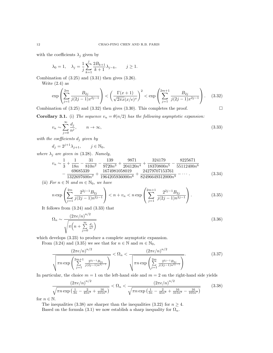with the coefficients  $\lambda_j$  given by

$$
\lambda_0 = 1, \quad \lambda_j = \frac{1}{j} \sum_{k=1}^j \frac{2B_{k+1}}{k+1} \lambda_{j-k}, \qquad j \ge 1.
$$

Combination of  $(3.25)$  and  $(3.31)$  then gives  $(3.26)$ .

Write  $(2.4)$  as

$$
\exp\left(\sum_{j=1}^{2m} \frac{B_{2j}}{j(2j-1)x^{2j-1}}\right) < \left(\frac{\Gamma(x+1)}{\sqrt{2\pi x}(x/e)^x}\right)^2 < \exp\left(\sum_{j=1}^{2m+1} \frac{B_{2j}}{j(2j-1)x^{2j-1}}\right). \tag{3.32}
$$

Combination of  $(3.25)$  and  $(3.32)$  then gives  $(3.30)$ . This completes the proof.

**Corollary 3.1.** (i) The sequence  $v_n = \theta(n/2)$  has the following asymptotic expansion:

$$
v_n \sim \sum_{j=0}^{\infty} \frac{d_j}{n^j}, \qquad n \to \infty,
$$
\n(3.33)

with the coefficients  $d_i$  given by

$$
d_j = 2^{j+1} \lambda_{j+1}, \qquad j \in \mathbb{N}_0,
$$

where  $\lambda_j$  are given in (3.28). Namely,

$$
v_n \sim \frac{1}{3} + \frac{1}{18n} - \frac{31}{810n^2} - \frac{139}{9720n^3} + \frac{9871}{204120n^4} + \frac{324179}{18370800n^5} - \frac{8225671}{55112400n^6} - \frac{69685339}{1322697600n^7} + \frac{1674981058019}{1964205936000n^8} + \frac{24279707153761}{82496649312000n^9} - \dots
$$
\n(3.34)

(ii) For  $n \in \mathbb{N}$  and  $m \in \mathbb{N}_0$ , we have

$$
n \exp\left(\sum_{j=1}^{2m} \frac{2^{2j-1} B_{2j}}{j(2j-1)n^{2j-1}}\right) < n + v_n < n \exp\left(\sum_{j=1}^{2m+1} \frac{2^{2j-1} B_{2j}}{j(2j-1)n^{2j-1}}\right). \tag{3.35}
$$

It follows from (3.24) and (3.33) that

$$
\Omega_n \sim \frac{\left(2\pi e/n\right)^{n/2}}{\sqrt{\pi \left(n + \sum_{j=0}^{\infty} \frac{d_j}{n^j}\right)}}
$$
\n(3.36)

which develops (3.23) to produce a complete asymptotic expansion.

From (3.24) and (3.35) we see that for  $n \in \mathbb{N}$  and  $m \in \mathbb{N}_0$ ,

$$
\frac{\left(2\pi e/n\right)^{n/2}}{\sqrt{\pi n \exp\left(\sum_{j=1}^{2m+1} \frac{2^{2j-1}B_{2j}}{j(2j-1)n^{2j-1}}\right)}} < \Omega_n < \frac{\left(2\pi e/n\right)^{n/2}}{\sqrt{\pi n \exp\left(\sum_{j=1}^{2m} \frac{2^{2j-1}B_{2j}}{j(2j-1)n^{2j-1}}\right)}}.
$$
(3.37)

In particular, the choice  $m = 1$  on the left-hand side and  $m = 2$  on the right-hand side yields

$$
\frac{\left(2\pi e/n\right)^{n/2}}{\sqrt{\pi n \exp\left(\frac{1}{3n} - \frac{2}{45n^3} + \frac{16}{315n^5}\right)}} < \Omega_n < \frac{\left(2\pi e/n\right)^{n/2}}{\sqrt{\pi n \exp\left(\frac{1}{3n} - \frac{2}{45n^3} + \frac{16}{315n^5} - \frac{16}{105n^7}\right)}}\tag{3.38}
$$

for  $n \in \mathbb{N}$ .

The inequalities (3.38) are sharper than the inequalities (3.22) for  $n \geq 4$ .

Based on the formula (3.1) we now establish a sharp inequality for  $\Omega_n$ .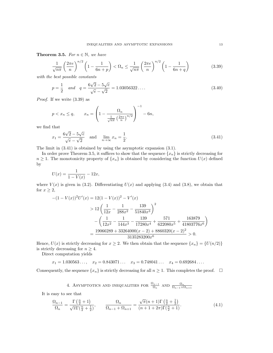**Theorem 3.5.** For  $n \in \mathbb{N}$ , we have

$$
\frac{1}{\sqrt{n\pi}}\left(\frac{2\pi e}{n}\right)^{n/2}\left(1-\frac{1}{6n+p}\right) < \Omega_n \le \frac{1}{\sqrt{n\pi}}\left(\frac{2\pi e}{n}\right)^{n/2}\left(1-\frac{1}{6n+q}\right) \tag{3.39}
$$

with the best possible constants

$$
p = \frac{1}{2} \quad and \quad q = \frac{6\sqrt{2} - 5\sqrt{e}}{\sqrt{e} - \sqrt{2}} = 1.03056322\ldots
$$
\n(3.40)

Proof. If we write (3.39) as

$$
p < x_n \le q, \qquad x_n = \left(1 - \frac{\Omega_n}{\frac{1}{\sqrt{n\pi}} \left(\frac{2\pi e}{n}\right)^{n/2}}\right)^{-1} - 6n,
$$

we find that

$$
x_1 = \frac{6\sqrt{2} - 5\sqrt{e}}{\sqrt{e} - \sqrt{2}}
$$
 and  $\lim_{n \to \infty} x_n = \frac{1}{2}$ . (3.41)

The limit in (3.41) is obtained by using the asymptotic expansion (3.1).

In order prove Theorem 3.5, it suffices to show that the sequence  $\{x_n\}$  is strictly decreasing for  $n \geq 1$ . The monotonicity property of  $\{x_n\}$  is obtained by considering the function  $U(x)$  defined by

$$
U(x) = \frac{1}{1 - V(x)} - 12x,
$$

where  $V(x)$  is given in (3.2). Differentiating  $U(x)$  and applying (3.4) and (3.8), we obtain that for  $x \geq 2$ ,

$$
-(1 - V(x))^{2}U'(x) = 12(1 - V(x))^{2} - V'(x)
$$
  
\n
$$
> 12\left(\frac{1}{12x} - \frac{1}{288x^{2}} - \frac{139}{51840x^{3}}\right)^{2}
$$
  
\n
$$
- \left(\frac{1}{12x^{2}} - \frac{1}{144x^{3}} - \frac{139}{17280x^{4}} + \frac{571}{622080x^{5}} + \frac{163879}{41803776x^{6}}\right)
$$
  
\n
$$
= \frac{19066289 + 33264000(x - 2) + 8860320(x - 2)^{2}}{3135283200x^{6}} > 0.
$$

Hence,  $U(x)$  is strictly decreasing for  $x \geq 2$ . We then obtain that the sequence  $\{x_n\} = \{U(n/2)\}$ is strictly decreasing for  $n \geq 4$ .

Direct computation yields

 $x_1 = 1.030563...$ ,  $x_2 = 0.843071...$   $x_3 = 0.748041...$   $x_4 = 0.692684...$ 

Consequently, the sequence  $\{x_n\}$  is strictly decreasing for all  $n \geq 1$ . This completes the proof.  $\Box$ 

4. ASYMPTOTICS AND INEQUALITIES FOR 
$$
\frac{\Omega_{n-1}}{\Omega_n}
$$
 AND  $\frac{\Omega_n}{\Omega_{n-1} + \Omega_{n+1}}$ 

It is easy to see that

$$
\frac{\Omega_{n-1}}{\Omega_n} = \frac{\Gamma\left(\frac{n}{2} + 1\right)}{\sqrt{\pi}\Gamma\left(\frac{n}{2} + \frac{1}{2}\right)}, \qquad \frac{\Omega_n}{\Omega_{n-1} + \Omega_{n+1}} = \frac{\sqrt{\pi}(n+1)\Gamma\left(\frac{n}{2} + \frac{1}{2}\right)}{(n+1+2\pi)\Gamma\left(\frac{n}{2} + 1\right)}.\tag{4.1}
$$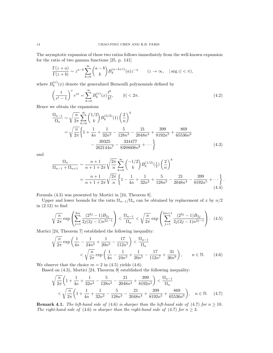The asymptotic expansion of these two ratios follows immediately from the well-known expansion for the ratio of two gamma functions [25, p. 141]

$$
\frac{\Gamma(z+a)}{\Gamma(z+b)} \sim z^{a-b} \sum_{k=0}^{\infty} {a-b \choose k} B_k^{(a-b+1)}(a) z^{-a} \qquad (z \to \infty, \quad |\arg z| < \pi),
$$

where  $B_k^{(\nu)}$  $\binom{v}{k}(x)$  denote the generalized Bernoulli polynomials defined by

$$
\left(\frac{t}{e^t - 1}\right)^{\nu} e^{xt} = \sum_{k=0}^{\infty} B_k^{(\nu)}(x) \frac{t^k}{k!}, \qquad |t| < 2\pi. \tag{4.2}
$$

Hence we obtain the expansions

$$
\frac{\Omega_{n-1}}{\Omega_n} \sim \sqrt{\frac{n}{2\pi}} \sum_{k=0}^{\infty} {\binom{1/2}{k}} B_k^{(3/2)}(1) {\binom{2}{n}}^k
$$
  
=  $\sqrt{\frac{n}{2\pi}} \left\{ 1 + \frac{1}{4n} + \frac{1}{32n^2} - \frac{5}{128n^3} - \frac{21}{2048n^4} + \frac{399}{8192n^5} + \frac{869}{65536n^6} - \frac{39325}{262144n^7} - \frac{334477}{8388608n^8} + \cdots \right\}$  (4.3)

and

$$
\frac{\Omega_n}{\Omega_{n-1} + \Omega_{n+1}} \sim \frac{n+1}{n+1+2\pi} \sqrt{\frac{2\pi}{n}} \sum_{k=0}^{\infty} {\binom{-1/2}{k}} B_k^{(1/2)} \left(\frac{1}{2}\right) {\binom{2}{n}}^k
$$
\n
$$
= \frac{n+1}{n+1+2\pi} \sqrt{\frac{2\pi}{n}} \left\{ 1 - \frac{1}{4n} + \frac{1}{32n^2} + \frac{5}{128n^3} - \frac{21}{2048n^4} - \frac{399}{8192n^5} + \cdots \right\} \tag{4.4}
$$

.

Formula (4.3) was presented by Mortici in [24, Theorem 8].

Upper and lower bounds for the ratio  $\Omega_{n-1}/\Omega_n$  can be obtained by replacement of x by  $n/2$ in (2.12) to find

$$
\sqrt{\frac{n}{2\pi}} \exp\left(\sum_{j=1}^{2m} \frac{(2^{2j} - 1)B_{2j}}{2j(2j - 1)n^{2j - 1}}\right) < \frac{\Omega_{n-1}}{\Omega_n} < \sqrt{\frac{n}{2\pi}} \exp\left(\sum_{j=1}^{2m+1} \frac{(2^{2j} - 1)B_{2j}}{2j(2j - 1)n^{2j - 1}}\right). \tag{4.5}
$$

Mortici [24, Theorem 7] established the following inequality:

$$
\sqrt{\frac{n}{2\pi}} \exp\left(\frac{1}{4n} - \frac{1}{24n^3} + \frac{1}{20n^5} - \frac{17}{112n^7}\right) < \frac{\Omega_{n-1}}{\Omega_n} \\
&< \sqrt{\frac{n}{2\pi}} \exp\left(\frac{1}{4n} - \frac{1}{24n^3} + \frac{1}{20n^5} - \frac{17}{112n^7} + \frac{31}{36n^9}\right), \qquad n \in \mathbb{N}.\tag{4.6}
$$

We observe that the choice  $m = 2$  in (4.5) yields (4.6).

Based on (4.3), Mortici [24, Theorem 9] established the following inequality:

$$
\sqrt{\frac{n}{2\pi}} \left( 1 + \frac{1}{4n} + \frac{1}{32n^2} - \frac{5}{128n^3} - \frac{21}{2048n^4} + \frac{399}{8192n^5} \right) < \frac{\Omega_{n-1}}{\Omega_n}
$$
\n
$$
\left( \sqrt{\frac{n}{2\pi}} \left( 1 + \frac{1}{4n} + \frac{1}{32n^2} - \frac{5}{128n^3} - \frac{21}{2048n^4} + \frac{399}{8192n^5} + \frac{869}{65536n^6} \right), \quad n \in \mathbb{N}. \tag{4.7}
$$

**Remark 4.1.** The left-hand side of (4.6) is sharper than the left-hand side of (4.7) for  $n \ge 10$ . The right-hand side of (4.6) is sharper than the right-hand side of (4.7) for  $n \geq 3$ .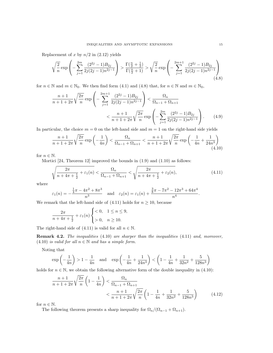Replacement of x by  $n/2$  in  $(2.12)$  yields

$$
\sqrt{\frac{2}{n}} \exp\left(-\sum_{j=1}^{2m} \frac{(2^{2j}-1)B_{2j}}{2j(2j-1)n^{2j-1}}\right) > \frac{\Gamma(\frac{n}{2}+\frac{1}{2})}{\Gamma(\frac{n}{2}+1)} > \sqrt{\frac{2}{n}} \exp\left(-\sum_{j=1}^{2m+1} \frac{(2^{2j}-1)B_{2j}}{2j(2j-1)n^{2j-1}}\right)
$$
\n(4.8)

for  $n \in \mathbb{N}$  and  $m \in \mathbb{N}_0$ . We then find form (4.1) and (4.8) that, for  $n \in \mathbb{N}$  and  $m \in \mathbb{N}_0$ ,

$$
\frac{n+1}{n+1+2\pi} \sqrt{\frac{2\pi}{n}} \exp\left(-\sum_{j=1}^{2m+1} \frac{(2^{2j}-1)B_{2j}}{2j(2j-1)n^{2j-1}}\right) < \frac{\Omega_n}{\Omega_{n-1} + \Omega_{n+1}}
$$

$$
< \frac{n+1}{n+1+2\pi} \sqrt{\frac{2\pi}{n}} \exp\left(-\sum_{j=1}^{2m} \frac{(2^{2j}-1)B_{2j}}{2j(2j-1)n^{2j-1}}\right).
$$
(4.9)

In particular, the choice  $m = 0$  on the left-hand side and  $m = 1$  on the right-hand side yields

$$
\frac{n+1}{n+1+2\pi} \sqrt{\frac{2\pi}{n}} \exp\left(-\frac{1}{4n}\right) < \frac{\Omega_n}{\Omega_{n-1} + \Omega_{n+1}} < \frac{n+1}{n+1+2\pi} \sqrt{\frac{2\pi}{n}} \exp\left(-\frac{1}{4n} + \frac{1}{24n^3}\right) \tag{4.10}
$$

for  $n \in \mathbb{N}$ .

Mortici [24, Theorem 12] improved the bounds in  $(1.9)$  and  $(1.10)$  as follows:

$$
\sqrt{\frac{2\pi}{n+4\pi+\frac{1}{2}}+\varepsilon_1(n)} < \frac{\Omega_n}{\Omega_{n-1}+\Omega_{n+1}} < \sqrt{\frac{2\pi}{n+4\pi+\frac{1}{2}}+\varepsilon_2(n)},
$$
\n(4.11)

where

$$
\varepsilon_1(n) = -\frac{\frac{1}{4}\pi - 4\pi^2 + 8\pi^3}{n^3}
$$
 and  $\varepsilon_2(n) = \varepsilon_1(n) + \frac{\frac{3}{8}\pi - 7\pi^2 - 12\pi^3 + 64\pi^4}{n^4}$ .

We remark that the left-hand side of  $(4.11)$  holds for  $n \geq 10$ , because

$$
\frac{2\pi}{n+4\pi+\frac{1}{2}} + \varepsilon_1(n) \begin{cases} < 0, & 1 \le n \le 9, \\ > 0, & n \ge 10. \end{cases}
$$

The right-hand side of  $(4.11)$  is valid for all  $n \in \mathbb{N}$ .

Remark 4.2. The inequalities (4.10) are sharper than the inequalities (4.11) and, moreover, (4.10) is valid for all  $n \in \mathbb{N}$  and has a simple form.

Noting that

$$
\exp\left(-\frac{1}{4n}\right) > 1 - \frac{1}{4n} \quad \text{and} \quad \exp\left(-\frac{1}{4n} + \frac{1}{24n^3}\right) < \left(1 - \frac{1}{4n} + \frac{1}{32n^2} + \frac{5}{128n^3}\right)
$$

holds for  $n \in \mathbb{N}$ , we obtain the following alternative form of the double inequality in (4.10):

$$
\frac{n+1}{n+1+2\pi} \sqrt{\frac{2\pi}{n}} \left( 1 - \frac{1}{4n} \right) < \frac{\Omega_n}{\Omega_{n-1} + \Omega_{n+1}} \\
&< \frac{n+1}{n+1+2\pi} \sqrt{\frac{2\pi}{n}} \left( 1 - \frac{1}{4n} + \frac{1}{32n^2} + \frac{5}{128n^3} \right) \tag{4.12}
$$

for  $n \in \mathbb{N}$ .

The following theorem presents a sharp inequality for  $\Omega_n/(\Omega_{n-1} + \Omega_{n+1})$ .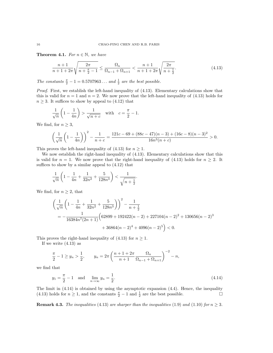**Theorem 4.1.** For  $n \in \mathbb{N}$ , we have

$$
\frac{n+1}{n+1+2\pi} \sqrt{\frac{2\pi}{n+\frac{\pi}{2}-1}} \le \frac{\Omega_n}{\Omega_{n-1} + \Omega_{n+1}} < \frac{n+1}{n+1+2\pi} \sqrt{\frac{2\pi}{n+\frac{1}{2}}}.
$$
\n(4.13)

The constants  $\frac{\pi}{2} - 1 = 0.5707963...$  and  $\frac{1}{2}$  are the best possible.

Proof. First, we establish the left-hand inequality of (4.13). Elementary calculations show that this is valid for  $n = 1$  and  $n = 2$ . We now prove that the left-hand inequality of (4.13) holds for  $n \geq 3$ . It suffices to show by appeal to (4.12) that

$$
\frac{1}{\sqrt{n}}\left(1-\frac{1}{4n}\right) > \frac{1}{\sqrt{n+c}} \quad \text{with} \quad c = \frac{\pi}{2} - 1.
$$

We find, for  $n \geq 3$ ,

$$
\left(\frac{1}{\sqrt{n}}\left(1-\frac{1}{4n}\right)\right)^2 - \frac{1}{n+c} = \frac{121c - 69 + (88c - 47)(n-3) + (16c - 8)(n-3)^2}{16n^3(n+c)} > 0.
$$

This proves the left-hand inequality of  $(4.13)$  for  $n \geq 1$ .

We now establish the right-hand inequality of (4.13). Elementary calculations show that this is valid for  $n = 1$ . We now prove that the right-hand inequality of (4.13) holds for  $n \geq 2$ . It suffices to show by a similar appeal to (4.12) that

$$
\frac{1}{\sqrt{n}}\left(1-\frac{1}{4n}+\frac{1}{32n^2}+\frac{5}{128n^3}\right) < \frac{1}{\sqrt{n+\frac{1}{2}}}.
$$

We find, for  $n \geq 2$ , that

$$
\left(\frac{1}{\sqrt{n}}\left(1-\frac{1}{4n}+\frac{1}{32n^2}+\frac{5}{128n^3}\right)\right)^2 - \frac{1}{n+\frac{1}{2}}
$$
  
=  $-\frac{1}{16384n^7(2n+1)}\left(62899+192422(n-2)+227104(n-2)^2+130656(n-2)^3\right)$   
+  $36864(n-2)^4+4096(n-2)^5$   $) < 0.$ 

This proves the right-hand inequality of (4.13) for  $n \geq 1$ .

If we write  $(4.13)$  as

$$
\frac{\pi}{2} - 1 \ge y_n > \frac{1}{2}, \qquad y_n = 2\pi \left( \frac{n+1+2\pi}{n+1} \frac{\Omega_n}{\Omega_{n-1} + \Omega_{n+1}} \right)^{-2} - n,
$$

we find that

$$
y_1 = \frac{\pi}{2} - 1
$$
 and  $\lim_{n \to \infty} y_n = \frac{1}{2}$ . (4.14)

The limit in (4.14) is obtained by using the asymptotic expansion (4.4). Hence, the inequality (4.13) holds for  $n \ge 1$ , and the constants  $\frac{\pi}{2} - 1$  and  $\frac{1}{2}$  are the best possible.

**Remark 4.3.** The inequalities (4.13) are sharper than the inequalities (1.9) and (1.10) for  $n \geq 3$ .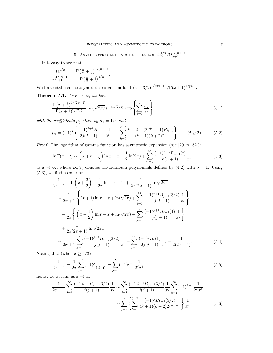5. ASYMPTOTICS AND INEQUALITIES FOR  $\Omega_n^{1/n}/\Omega_{n+1}^{1/(n+1)}$ 

It is easy to see that

$$
\frac{\Omega_n^{1/n}}{\Omega_{n+1}^{1/(n+1)}} = \frac{\Gamma(\frac{n}{2} + \frac{3}{2})^{1/(n+1)}}{\Gamma(\frac{n}{2} + 1)^{1/n}}.
$$

We first establish the asymptotic expansion for  $\Gamma(x+3/2)^{1/(2x+1)}/\Gamma(x+1)^{1/(2x)}$ .

Theorem 5.1. As  $x \to \infty$ , we have

$$
\frac{\Gamma\left(x+\frac{3}{2}\right)^{1/(2x+1)}}{\Gamma(x+1)^{1/(2x)}} \sim \left(\sqrt{2\pi x}\right)^{-\frac{1}{2x(2x+1)}} \exp\left\{\sum_{j=1}^{\infty} \frac{\mu_j}{x^j}\right\},\tag{5.1}
$$

with the coefficients  $\mu_j$  given by  $\mu_1 = 1/4$  and

$$
\mu_j = (-1)^j \left\{ \frac{(-1)^{j+1} B_j}{2j(j-1)} - \frac{1}{2^{j+1}} + \sum_{k=0}^{j-2} \frac{k+2 - (2^{k+1}-1) B_{k+2}}{(k+1)(k+2)2^j} \right\} \qquad (j \ge 2). \tag{5.2}
$$

Proof. The logarithm of gamma function has asymptotic expansion (see [20, p. 32]):

$$
\ln \Gamma(x+t) \sim \left(x+t-\frac{1}{2}\right) \ln x - x + \frac{1}{2} \ln(2\pi) + \sum_{n=1}^{\infty} \frac{(-1)^{n+1} B_{n+1}(t)}{n(n+1)} \frac{1}{x^n}
$$
(5.3)

as  $x \to \infty$ , where  $B_n(t)$  denotes the Bernoulli polynomials defined by (4.2) with  $\nu = 1$ . Using  $(5.3)$ , we find as  $x \to \infty$ 

$$
\frac{1}{2x+1}\ln\Gamma\left(x+\frac{3}{2}\right) - \frac{1}{2x}\ln\Gamma(x+1) + \frac{1}{2x(2x+1)}\ln\sqrt{2\pi x}
$$
\n
$$
\sim \frac{1}{2x+1}\left\{(x+1)\ln x - x + \ln(\sqrt{2\pi}) + \sum_{j=1}^{\infty}\frac{(-1)^{j+1}B_{j+1}(3/2)}{j(j+1)}\frac{1}{x^j}\right\}
$$
\n
$$
-\frac{1}{2x}\left\{\left(x+\frac{1}{2}\right)\ln x - x + \ln(\sqrt{2\pi}) + \sum_{j=1}^{\infty}\frac{(-1)^{j+1}B_{j+1}(1)}{j(j+1)}\frac{1}{x^j}\right\}
$$
\n
$$
+\frac{1}{2x(2x+1)}\ln\sqrt{2\pi x}
$$
\n
$$
\sim \frac{1}{2x+1}\sum_{j=1}^{\infty}\frac{(-1)^{j+1}B_{j+1}(3/2)}{j(j+1)}\frac{1}{x^j} - \sum_{j=2}^{\infty}\frac{(-1)^jB_j(1)}{2j(j-1)}\frac{1}{x^j} + \frac{1}{2(2x+1)}.
$$
\n(5.4)

Noting that (when  $x \geq 1/2$ )

$$
\frac{1}{2x+1} = \frac{1}{2x} \sum_{j=0}^{\infty} (-1)^j \frac{1}{(2x)^j} = \sum_{j=1}^{\infty} (-1)^{j-1} \frac{1}{2^j x^j}
$$
(5.5)

holds, we obtain, as  $x \to \infty$ ,

$$
\frac{1}{2x+1} \sum_{j=1}^{\infty} \frac{(-1)^{j+1} B_{j+1}(3/2)}{j(j+1)} \frac{1}{x^j} \sim \sum_{j=1}^{\infty} \frac{(-1)^{j+1} B_{j+1}(3/2)}{j(j+1)} \frac{1}{x^j} \sum_{k=1}^{\infty} (-1)^{k-1} \frac{1}{2^k x^k}
$$

$$
\sim \sum_{j=2}^{\infty} \left\{ \sum_{k=0}^{j-2} \frac{(-1)^j B_{k+2}(3/2)}{(k+1)(k+2)2^{j-k-1}} \right\} \frac{1}{x^j}.
$$
(5.6)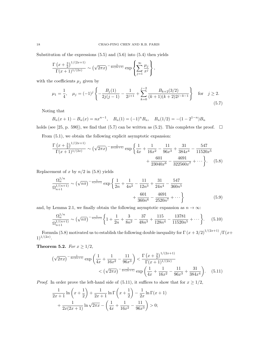Substitution of the expressions (5.5) and (5.6) into (5.4) then yields

$$
\frac{\Gamma(x+\frac{3}{2})^{1/(2x+1)}}{\Gamma(x+1)^{1/(2x)}} \sim (\sqrt{2\pi x})^{-\frac{1}{2x(2x+1)}} \exp\left\{\sum_{j=1}^{\infty} \frac{\mu_j}{x^j}\right\},\,
$$

with the coefficients  $\mu_j$  given by

$$
\mu_1 = \frac{1}{4}, \quad \mu_j = (-1)^j \left\{ -\frac{B_j(1)}{2j(j-1)} - \frac{1}{2^{j+1}} + \sum_{k=0}^{j-2} \frac{B_{k+2}(3/2)}{(k+1)(k+2)2^{j-k-1}} \right\} \quad \text{for} \quad j \ge 2.
$$
\n
$$
(5.7)
$$

Noting that

$$
B_n(x+1) - B_n(x) = nx^{n-1}
$$
,  $B_n(1) = (-1)^n B_n$ ,  $B_n(1/2) = -(1 - 2^{1-n})B_n$ 

holds (see [25, p. 590]), we find that (5.7) can be written as (5.2). This completes the proof.  $\Box$ 

From (5.1), we obtain the following explicit asymptotic expansion:

$$
\frac{\Gamma\left(x+\frac{3}{2}\right)^{1/(2x+1)}}{\Gamma(x+1)^{1/(2x)}} \sim \left(\sqrt{2\pi x}\right)^{-\frac{1}{2x(2x+1)}} \exp\left\{\frac{1}{4x} + \frac{1}{16x^2} - \frac{11}{96x^3} + \frac{31}{384x^4} - \frac{547}{11520x^5} + \frac{601}{23040x^6} - \frac{4691}{322560x^7} + \cdots \right\}.
$$
 (5.8)

Replacement of x by  $n/2$  in (5.8) yields

$$
\frac{\Omega_n^{1/n}}{\Omega_{n+1}^{1/(n+1)}} \sim \left(\sqrt{n\pi}\right)^{-\frac{1}{n(n+1)}} \exp\left\{\frac{1}{2n} + \frac{1}{4n^2} - \frac{11}{12n^3} + \frac{31}{24n^4} - \frac{547}{360n^5} + \frac{601}{360n^6} - \frac{4691}{2520n^7} + \cdots \right\}
$$
(5.9)

and, by Lemma 2.1, we finally obtain the following asymptotic expansion as  $n \to \infty$ :

$$
\frac{\Omega_n^{1/n}}{\Omega_{n+1}^{1/(n+1)}} \sim \left(\sqrt{n\pi}\right)^{-\frac{1}{n(n+1)}} \left\{ 1 + \frac{1}{2n} + \frac{3}{8n^2} - \frac{37}{48n^3} + \frac{115}{128n^4} - \frac{13781}{11520n^5} + \dots \right\}.
$$
 (5.10)

Formula (5.8) motivated us to establish the following double inequality for  $\Gamma(x+3/2)^{1/(2x+1)}/\Gamma(x+1/2x)$  $1)^{1/(2x)}$ .

Theorem 5.2. For  $x \geq 1/2$ ,

$$
\left(\sqrt{2\pi x}\right)^{-\frac{1}{2x(2x+1)}} \exp\left(\frac{1}{4x} + \frac{1}{16x^2} - \frac{11}{96x^3}\right) < \frac{\Gamma\left(x + \frac{3}{2}\right)^{1/(2x+1)}}{\Gamma(x+1)^{1/(2x)}} \\
&< \left(\sqrt{2\pi x}\right)^{-\frac{1}{2x(2x+1)}} \exp\left(\frac{1}{4x} + \frac{1}{16x^2} - \frac{11}{96x^3} + \frac{31}{384x^4}\right). \tag{5.11}
$$

*Proof.* In order prove the left-hand side of (5.11), it suffices to show that for  $x \ge 1/2$ ,

$$
\frac{1}{2x+1}\ln\left(x+\frac{1}{2}\right) + \frac{1}{2x+1}\ln\Gamma\left(x+\frac{1}{2}\right) - \frac{1}{2x}\ln\Gamma(x+1) + \frac{1}{2x(2x+1)}\ln\sqrt{2\pi x} - \left(\frac{1}{4x} + \frac{1}{16x^2} - \frac{11}{96x^3}\right) > 0;
$$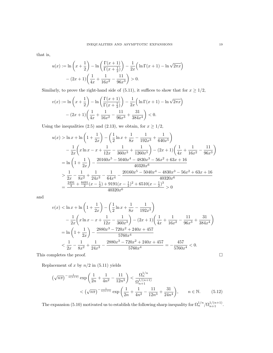that is,

$$
u(x) := \ln\left(x + \frac{1}{2}\right) - \ln\left(\frac{\Gamma(x+1)}{\Gamma(x+\frac{1}{2})}\right) - \frac{1}{2x}\left(\ln\Gamma(x+1) - \ln\sqrt{2\pi x}\right) - (2x+1)\left(\frac{1}{4x} + \frac{1}{16x^2} - \frac{11}{96x^3}\right) > 0.
$$

Similarly, to prove the right-hand side of (5.11), it suffices to show that for  $x \ge 1/2$ ,

$$
v(x) := \ln\left(x + \frac{1}{2}\right) - \ln\left(\frac{\Gamma(x+1)}{\Gamma(x+\frac{1}{2})}\right) - \frac{1}{2x}\left(\ln\Gamma(x+1) - \ln\sqrt{2\pi x}\right)
$$

$$
-(2x+1)\left(\frac{1}{4x} + \frac{1}{16x^2} - \frac{11}{96x^3} + \frac{31}{384x^4}\right) < 0.
$$

Using the inequalities (2.5) and (2.13), we obtain, for  $x\geq 1/2,$ 

$$
u(x) > \ln x + \ln\left(1 + \frac{1}{2x}\right) - \left(\frac{1}{2}\ln x + \frac{1}{8x} - \frac{1}{192x^3} + \frac{1}{640x^5}\right)
$$
  

$$
- \frac{1}{2x}\left(x\ln x - x + \frac{1}{12x} - \frac{1}{360x^3} + \frac{1}{1260x^5}\right) - (2x+1)\left(\frac{1}{4x} + \frac{1}{16x^2} - \frac{11}{96x^3}\right)
$$
  

$$
= \ln\left(1 + \frac{1}{2x}\right) - \frac{20160x^5 - 5040x^4 - 4830x^3 - 56x^2 + 63x + 16}{40320x^6}
$$
  

$$
> \frac{1}{2x} - \frac{1}{8x^2} + \frac{1}{24x^3} - \frac{1}{64x^4} - \frac{20160x^5 - 5040x^4 - 4830x^3 - 56x^2 + 63x + 16}{40320x^6}
$$
  

$$
= \frac{\frac{2491}{4} + \frac{8491}{2}(x - \frac{1}{2}) + 9191(x - \frac{1}{2})^2 + 6510(x - \frac{1}{2})^3}{40320x^6} > 0
$$

and

$$
v(x) < \ln x + \ln\left(1 + \frac{1}{2x}\right) - \left(\frac{1}{2}\ln x + \frac{1}{8x} - \frac{1}{192x^3}\right)
$$
  

$$
- \frac{1}{2x}\left(x\ln x - x + \frac{1}{12x} - \frac{1}{360x^3}\right) - (2x+1)\left(\frac{1}{4x} + \frac{1}{16x^2} - \frac{11}{96x^3} + \frac{31}{384x^4}\right)
$$
  

$$
= \ln\left(1 + \frac{1}{2x}\right) - \frac{2880x^3 - 720x^2 + 240x + 457}{5760x^4}
$$
  

$$
< \frac{1}{2x} - \frac{1}{8x^2} + \frac{1}{24x^3} - \frac{2880x^3 - 720x^2 + 240x + 457}{5760x^4} = -\frac{457}{5760x^4} < 0.
$$

This completes the proof.  $\hfill \square$ 

Replacement of  $x$  by  $n/2$  in  $(5.11)$  yields

$$
(\sqrt{n\pi})^{-\frac{1}{n(n+1)}} \exp\left(\frac{1}{2n} + \frac{1}{4n^2} - \frac{11}{12n^3}\right) < \frac{\Omega_n^{1/n}}{\Omega_{n+1}^{1/(n+1)}} \\
&< (\sqrt{n\pi})^{-\frac{1}{n(n+1)}} \exp\left(\frac{1}{2n} + \frac{1}{4n^2} - \frac{11}{12n^3} + \frac{31}{24n^4}\right), \qquad n \in \mathbb{N}.\tag{5.12}
$$

The expansion (5.10) motivated us to establish the following sharp inequality for  $\Omega_n^{1/n}/\Omega_{n+1}^{1/(n+1)}$ .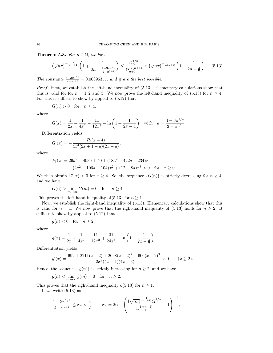**Theorem 5.3.** For  $n \in \mathbb{N}$ , we have

$$
\left(\sqrt{n\pi}\right)^{-\frac{1}{n(n+1)}} \left(1 + \frac{1}{2n - \frac{4 - 3\pi^{1/4}}{2 - \pi^{1/4}}}\right) \le \frac{\Omega_n^{1/n}}{\Omega_{n+1}^{1/(n+1)}} < \left(\sqrt{n\pi}\right)^{-\frac{1}{n(n+1)}} \left(1 + \frac{1}{2n - \frac{3}{2}}\right). \tag{5.13}
$$

The constants  $\frac{4-3\pi^{1/4}}{2-\pi^{1/4}} = 0.008963...$  and  $\frac{3}{2}$  are the best possible.

Proof. First, we establish the left-hand inequality of  $(5.13)$ . Elementary calculations show that this is valid for for  $n = 1, 2$  and 3. We now prove the left-hand inequality of (5.13) for  $n \geq 4$ . For this it suffices to show by appeal to (5.12) that

$$
G(n) > 0 \quad \text{for} \quad n \ge 4,
$$

where

$$
G(x) = \frac{1}{2x} + \frac{1}{4x^2} - \frac{11}{12x^3} - \ln\left(1 + \frac{1}{2x - a}\right) \quad \text{with} \quad a = \frac{4 - 3\pi^{1/4}}{2 - \pi^{1/4}}.
$$

Differentiation yields

$$
G'(x) = -\frac{P_3(x-4)}{4x^4(2x+1-a)(2x-a)},
$$

where

$$
P_3(x) = 29a^2 - 493a + 40 + (18a^2 - 422a + 234)x
$$
  
+  $(2a^2 - 106a + 104)x^2 + (12 - 8a)x^3 > 0$  for  $x \ge 0$ .

We then obtain  $G'(x) < 0$  for  $x \ge 4$ . So, the sequence  $\{G(n)\}\$ is strictly decreasing for  $n \ge 4$ , and we have

$$
G(n) > \lim_{m \to \infty} G(m) = 0 \quad \text{for} \quad n \ge 4.
$$

This proves the left-hand inequality of  $(5.13)$  for  $n \geq 1$ .

Now, we establish the right-hand inequality of (5.13). Elementary calculations show that this is valid for  $n = 1$ . We now prove that the right-hand inequality of (5.13) holds for  $n \geq 2$ . It suffices to show by appeal to (5.12) that

$$
g(n) < 0 \quad \text{for} \quad n \ge 2,
$$

where

$$
g(x) = \frac{1}{2x} + \frac{1}{4x^2} - \frac{11}{12x^3} + \frac{31}{24x^4} - \ln\left(1 + \frac{1}{2x - \frac{3}{2}}\right).
$$

Differentiation yields

$$
g'(x) = \frac{692 + 2211(x - 2) + 2098(x - 2)^2 + 606(x - 2)^3}{12x^5(4x - 1)(4x - 3)} > 0 \qquad (x \ge 2).
$$

Hence, the sequence  $\{g(n)\}\$ is strictly increasing for  $n \geq 2$ , and we have

$$
g(n) < \lim_{m \to \infty} g(m) = 0 \quad \text{for} \quad n \ge 2.
$$

This proves that the right-hand inequality o(5.13) for  $n \geq 1$ .

If we write  $(5.13)$  as

$$
\frac{4-3\pi^{1/4}}{2-\pi^{1/4}} \le x_n < \frac{3}{2}, \qquad x_n = 2n - \left(\frac{(\sqrt{n\pi})^{\frac{1}{n(n+1)}}\Omega_n^{1/n}}{\Omega_{n+1}^{1/(n+1)}} - 1\right)^{-1},
$$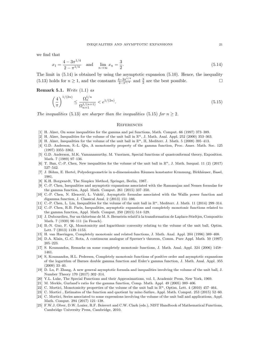we find that

$$
x_1 = \frac{4 - 3\pi^{1/4}}{2 - \pi^{1/4}} \quad \text{and} \quad \lim_{n \to \infty} x_n = \frac{3}{2}.
$$
 (5.14)

The limit in (5.14) is obtained by using the asymptotic expansion (5.10). Hence, the inequality (5.13) holds for  $n \ge 1$ , and the constants  $\frac{4-3\pi^{1/4}}{2-\pi^{1/4}}$  and  $\frac{3}{2}$  are the best possible.

Remark 5.1. Write  $(1.1)$  as

$$
\left(\frac{4}{\pi}\right)^{1/(2n)} \le \frac{\Omega_n^{1/n}}{\Omega_{n+1}^{1/(n+1)}} < e^{1/(2n)}.\tag{5.15}
$$

The inequalities (5.13) are sharper than the inequalities (5.15) for  $n > 2$ .

#### **REFERENCES**

- [1] H. Alzer, On some inequalities for the gamma and psi functions, Math. Comput. 66 (1997) 373–389.
- [2] H. Alzer, Inequalities for the volume of the unit ball in  $\mathbb{R}^n$ , J. Math. Anal. Appl. 252 (2000) 353–363.
- [3] H. Alzer, Inequalities for the volume of the unit ball in  $\mathbb{R}^n$ , II, Mediterr. J. Math. 5 (2008) 395–413.
- [4] G.D. Anderson, S.-L. Qiu, A monotoneity property of the gamma function, Proc. Amer. Math. Soc. 125 (1997) 3355–3362.
- [5] G.D. Anderson, M.K. Vamanamurthy, M. Vuorinen, Special functions of quasiconformal theory, Exposition. Math. 7 (1989) 97–136.
- [6] T. Ban, C.-P. Chen, New inequalities for the volume of the unit ball in  $\mathbb{R}^n$ , J. Math. Inequal. 11 (2) (2017) 527–542.
- [7] J. Böhm, E. Hertel, Polyedergeometrie in n-dimensionalen Räumen konstanter Krmmung, Birkhäuser, Basel, 1981.
- [8] K.H. Borgwardt, The Simplex Method, Springer, Berlin, 1987.
- [9] C.-P. Chen, Inequalities and asymptotic expansions associated with the Ramanujan and Nemes formulas for the gamma function, Appl. Math. Comput. 261 (2015) 337–350.
- [10] C.-P. Chen, N. Elezović, L. Vukšić, Asymptotic formulae associated with the Wallis power function and digamma function, J. Classical Anal. 2 (2013) 151–166.
- [11] C.-P. Chen, L. Lin, Inequalities for the volume of the unit ball in  $\mathbb{R}^n$ , Mediterr. J. Math. 11 (2014) 299–314. [12] C.-P. Chen, R.B. Paris, Inequalities, asymptotic expansions and completely monotonic functions related to the gamma function, Appl. Math. Comput. 250 (2015) 514–529.
- [13] J. Dubourdieu, Sur un théorème de M. S. Bernstein relatif à la transformation de Laplace-Stieltjes, Compositio Math. 7 (1939) 96–111 (in French).
- [14] B.-N. Guo, F. Qi, Monotonicity and logarithmic convexity relating to the volume of the unit ball, Optim. Lett. 7 (2013) 1139–1153.
- [15] H. van Haeringen, Completely monotonic and related functions, J. Math. Anal. Appl. 204 (1996) 389–408.
- [16] D.A. Klain, G.-C. Rota, A continuous analogue of Sperner's theorem, Comm. Pure Appl. Math. 50 (1997) 205–223.
- [17] S. Koumandos, Remarks on some completely monotonic functions, J. Math. Anal. Appl. 324 (2006) 1458– 1461.
- [18] S, Koumandos, H.L. Pedersen, Completely monotonic functions of positive order and asymptotic expansions of the logarithm of Barnes double gamma function and Euler's gamma function, J. Math. Anal. Appl. 355 (2009) 33–40.
- [19] D. Lu, P. Zhang, A new general asymptotic formula and inequalities involving the volume of the unit ball, J. Number Theory 170 (2017) 302–314.
- [20] Y.L. Luke, The Special Functions and their Approximations, vol. I, Academic Press, New York, 1969.
- [21] M. Merkle, Gurland's ratio for the gamma function, Comp. Math. Appl. 49 (2005) 389–406.
- [22] C. Mortici, Monotonicity properties of the volume of the unit ball in  $\mathbb{R}^n$ , Optim. Lett. 4 (2010) 457–464.
- [23] C. Mortici , Estimates of the function and quotient by minc-Sathre, Appl. Math. Comput. 253 (2015) 52–60.
- [24] C. Mortici, Series associated to some expressions involving the volume of the unit ball and applications, Appl. Math. Comput. 294 (2017) 121–138.
- [25] F.W.J. Olver, D.W. Lozier, R.F. Boisvert and C.W. Clark (eds.), NIST Handbook of Mathematical Functions, Cambridge University Press, Cambridge, 2010.